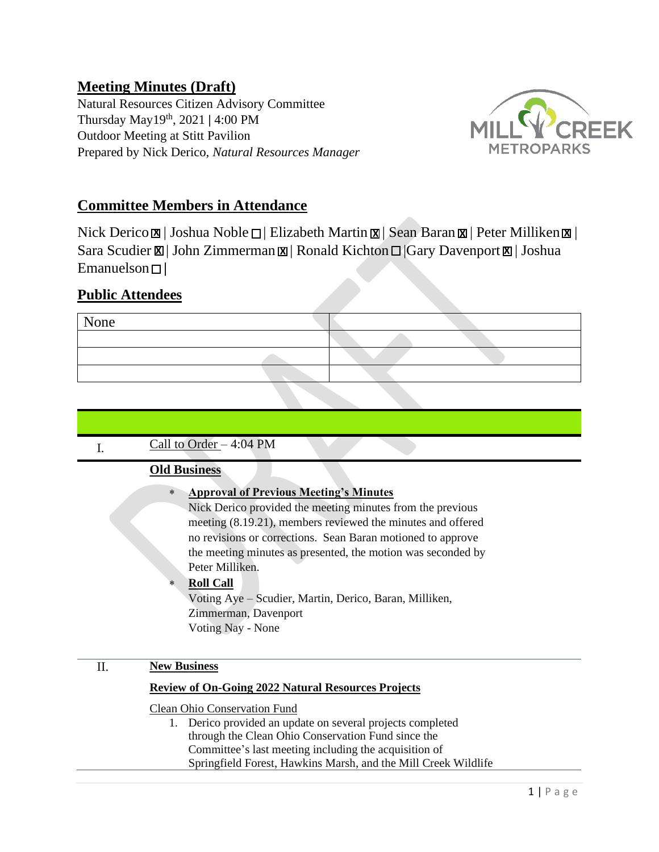# **Meeting Minutes (Draft)**

Natural Resources Citizen Advisory Committee Thursday May19 th, 2021 **|** 4:00 PM Outdoor Meeting at Stitt Pavilion Prepared by Nick Derico, *Natural Resources Manager* 



# **Committee Members in Attendance**

**X** Nick Derico  $\boxtimes$  | Joshua Noble  $\Box$  | Elizabeth Martin  $\boxtimes$  | Sean Baran  $\boxtimes$  | Peter Milliken  $\boxtimes$  | Sara Scudier  $\boxtimes$  | John Zimmerman  $\boxtimes$  | Ronald Kichton  $\Box$  |Gary Davenport  $\boxtimes$  | Joshua Emanuelson **|**

## **Public Attendees**



| Call to Order $-4:04$ PM                                                                                                                                                                                                                                                                                                                                                                                                                                                           |                          |
|------------------------------------------------------------------------------------------------------------------------------------------------------------------------------------------------------------------------------------------------------------------------------------------------------------------------------------------------------------------------------------------------------------------------------------------------------------------------------------|--------------------------|
| I.                                                                                                                                                                                                                                                                                                                                                                                                                                                                                 |                          |
| <b>Old Business</b>                                                                                                                                                                                                                                                                                                                                                                                                                                                                |                          |
| <b>Approval of Previous Meeting's Minutes</b><br>$\ast$<br>Nick Derico provided the meeting minutes from the previous<br>meeting (8.19.21), members reviewed the minutes and offered<br>no revisions or corrections. Sean Baran motioned to approve<br>the meeting minutes as presented, the motion was seconded by<br>Peter Milliken.<br><b>Roll Call</b><br>$\ast$<br>Voting Aye – Scudier, Martin, Derico, Baran, Milliken,<br>Zimmerman, Davenport<br><b>Voting Nay - None</b> |                          |
| <b>New Business</b><br>Π.                                                                                                                                                                                                                                                                                                                                                                                                                                                          |                          |
| <b>Review of On-Going 2022 Natural Resources Projects</b>                                                                                                                                                                                                                                                                                                                                                                                                                          |                          |
| Clean Ohio Conservation Fund<br>Derico provided an update on several projects completed<br>1.<br>through the Clean Ohio Conservation Fund since the<br>Committee's last meeting including the acquisition of<br>Springfield Forest, Hawkins Marsh, and the Mill Creek Wildlife                                                                                                                                                                                                     |                          |
|                                                                                                                                                                                                                                                                                                                                                                                                                                                                                    | $1 \mid P \land P \in P$ |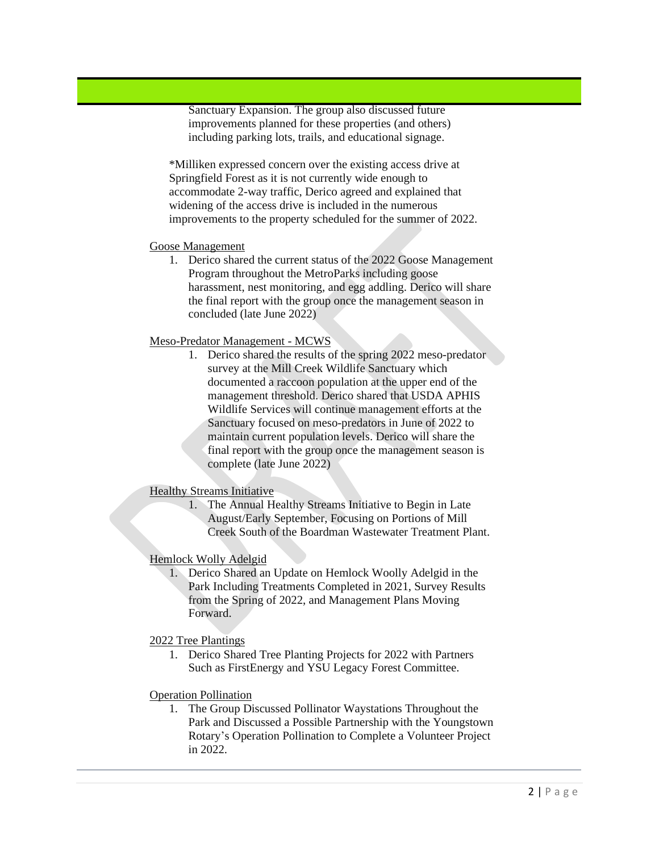Sanctuary Expansion. The group also discussed future improvements planned for these properties (and others) including parking lots, trails, and educational signage.

\*Milliken expressed concern over the existing access drive at Springfield Forest as it is not currently wide enough to accommodate 2-way traffic, Derico agreed and explained that widening of the access drive is included in the numerous improvements to the property scheduled for the summer of 2022.

#### Goose Management

1. Derico shared the current status of the 2022 Goose Management Program throughout the MetroParks including goose harassment, nest monitoring, and egg addling. Derico will share the final report with the group once the management season in concluded (late June 2022)

### Meso-Predator Management - MCWS

1. Derico shared the results of the spring 2022 meso-predator survey at the Mill Creek Wildlife Sanctuary which documented a raccoon population at the upper end of the management threshold. Derico shared that USDA APHIS Wildlife Services will continue management efforts at the Sanctuary focused on meso-predators in June of 2022 to maintain current population levels. Derico will share the final report with the group once the management season is complete (late June 2022)

### Healthy Streams Initiative

1. The Annual Healthy Streams Initiative to Begin in Late August/Early September, Focusing on Portions of Mill Creek South of the Boardman Wastewater Treatment Plant.

### Hemlock Wolly Adelgid

- 1. Derico Shared an Update on Hemlock Woolly Adelgid in the Park Including Treatments Completed in 2021, Survey Results from the Spring of 2022, and Management Plans Moving Forward.
- 2022 Tree Plantings
	- 1. Derico Shared Tree Planting Projects for 2022 with Partners Such as FirstEnergy and YSU Legacy Forest Committee.
- Operation Pollination
	- 1. The Group Discussed Pollinator Waystations Throughout the Park and Discussed a Possible Partnership with the Youngstown Rotary's Operation Pollination to Complete a Volunteer Project in 2022.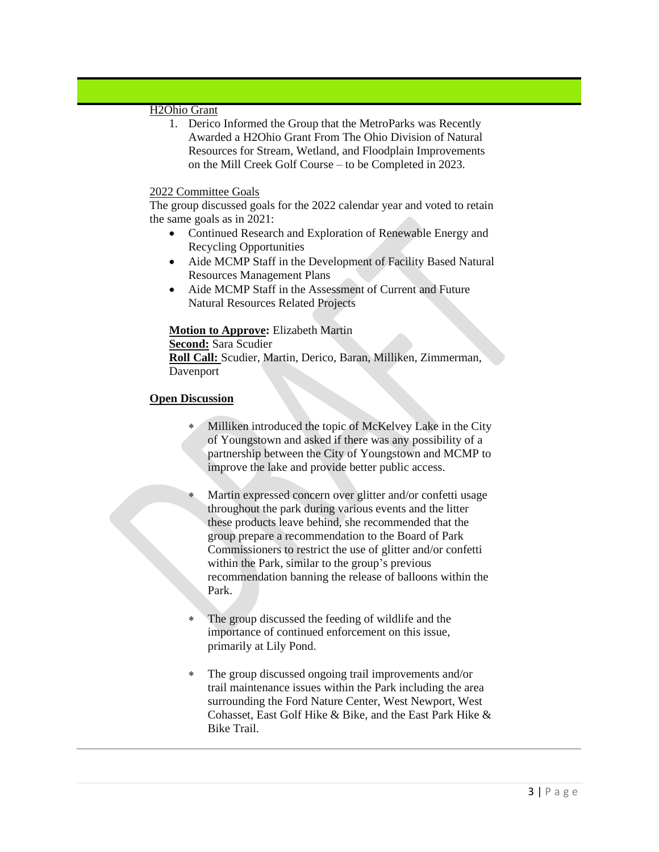### H2Ohio Grant

1. Derico Informed the Group that the MetroParks was Recently Awarded a H2Ohio Grant From The Ohio Division of Natural Resources for Stream, Wetland, and Floodplain Improvements on the Mill Creek Golf Course – to be Completed in 2023.

#### 2022 Committee Goals

The group discussed goals for the 2022 calendar year and voted to retain the same goals as in 2021:

- Continued Research and Exploration of Renewable Energy and Recycling Opportunities
- Aide MCMP Staff in the Development of Facility Based Natural Resources Management Plans
- Aide MCMP Staff in the Assessment of Current and Future Natural Resources Related Projects

### **Motion to Approve:** Elizabeth Martin

**Second:** Sara Scudier **Roll Call:** Scudier, Martin, Derico, Baran, Milliken, Zimmerman, Davenport

### **Open Discussion**

- Milliken introduced the topic of McKelvey Lake in the City of Youngstown and asked if there was any possibility of a partnership between the City of Youngstown and MCMP to improve the lake and provide better public access.
- Martin expressed concern over glitter and/or confetti usage throughout the park during various events and the litter these products leave behind, she recommended that the group prepare a recommendation to the Board of Park Commissioners to restrict the use of glitter and/or confetti within the Park, similar to the group's previous recommendation banning the release of balloons within the Park.
- The group discussed the feeding of wildlife and the importance of continued enforcement on this issue, primarily at Lily Pond.
- The group discussed ongoing trail improvements and/or trail maintenance issues within the Park including the area surrounding the Ford Nature Center, West Newport, West Cohasset, East Golf Hike & Bike, and the East Park Hike & Bike Trail.